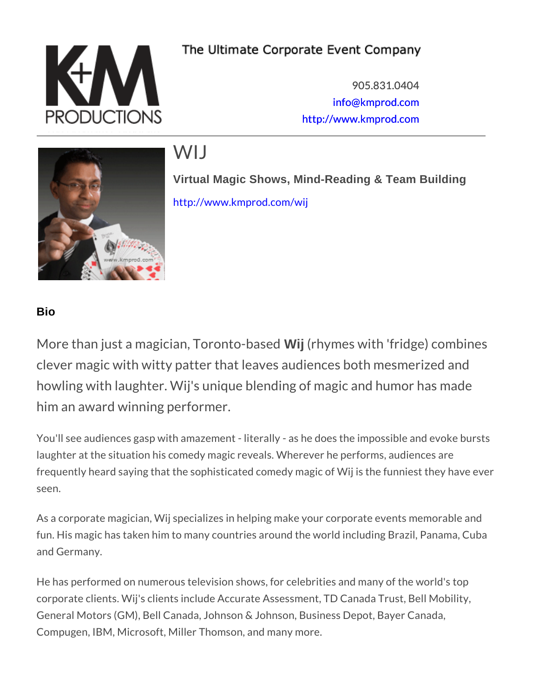905.831.0404 [info@kmpro](mailto:info@kmprod.com)d.com [http://www.kmp](http://www.kmprod.com)rod.com

# WIJ

Virtual Magic Shows, Mind-Reading & Team Building [http://www.kmpro](http://www.kmprod.com/wij)d.com/wij

### Bio

More than just a magician,  $W$ ij T (prrhoynntone-sb aw sith dividige) combines with  $\alpha$ clever magic with witty patter that leaves audiences howling with laughter. Wij's unique blending of mag him an award winning performer.

You'll see audiences gasp with amazement - literally - as he doe laughter at the situation his comedy magic reveals. Wherever he frequently heard saying that the sophisticated comedy magic of seen.

As a corporate magician, Wij specializes in helping make your c fun. His magic has taken him to many countries around the world and Germany.

He has performed on numerous television shows, for celebrities corporate clients. Wij's clients include Accurate Assessment, TD General Motors (GM), Bell Canada, Johnson & Johnson, Busines: Compugen, IBM, Microsoft, Miller Thomson, and many more.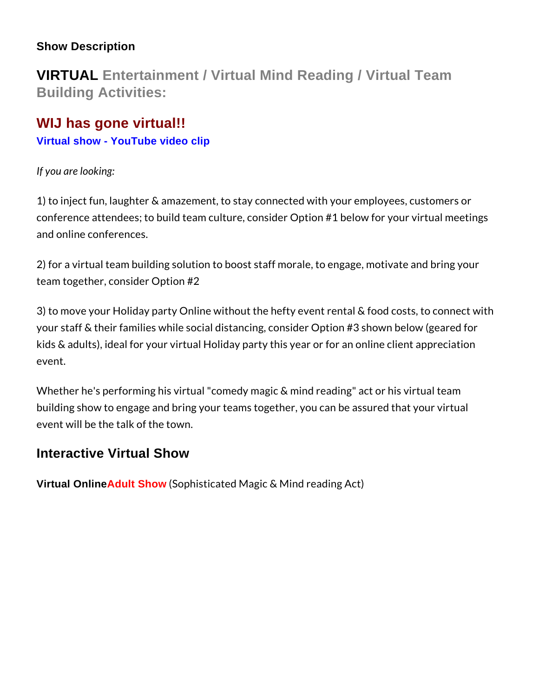Show Description

VIRTUAL Entertainment / Virtual Mind Reading / Virtual Team Building Activities:

## WIJ has gone virtual!!

[Virtual show - YouTube video clip](https://www.youtube.com/watch?v=tHgxVgcabXU)

If you are looking:

1) to inject fun, laughter & amazement, to stay connected with y conference attendees; to build team culture, consider Option #1 and online conferences.

2) for a virtual team building solution to boost staff morale, to team together, consider Option #2

3) to move your Holiday party Online without the hefty event ren your staff & their families while social distancing, consider Opti kids & adults), ideal for your virtual Holiday party this year or f event.

Whether he's performing his virtual "comedy magic & mind reading building show to engage and bring your teams together, you can event will be the talk of the town.

# Interactive Virtual Show

Virtual Online Adult Show (Sophisticated Magic & Mind reading Act)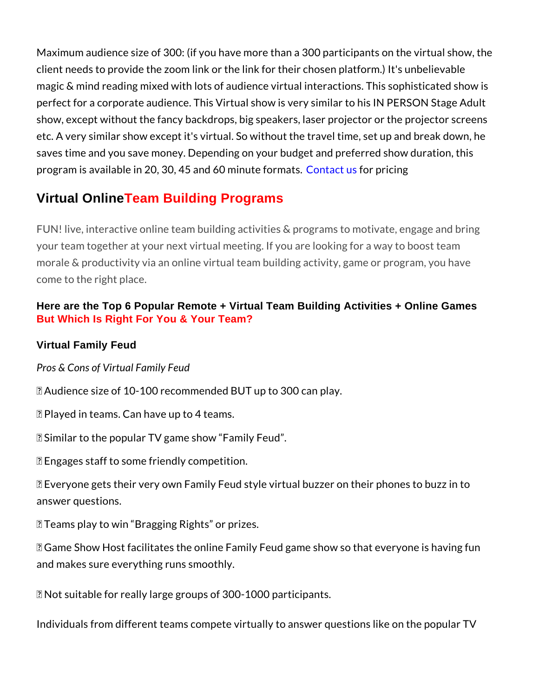Maximum audience size of 300: (if you have more than a 300 par client needs to provide the zoom link or the link for their chosen magic & mind reading mixed with lots of audience virtual interac perfect for a corporate audience. This Virtual show is very simil show, except without the fancy backdrops, big speakers, laser p etc. A very similar show except it's virtual. So without the trave saves time and you save money. Depending on your budget and p program is available in 20, 30, 45 and tactimonish preciogmats.

## Virtual Online Team Building Programs

FUN! live, interactive online team building activities & programs your team together at your next virtual meeting. If you are looki morale & productivity via an online virtual team building activity come to the right place.

Here are the Top 6 Popular Remote + Virtual Team Building Activities + Online Games But Which Is Right For You & Your Team?

Virtual Family Feud

Pros & Cons of Virtual Family Feud

+P Audience size of 10-100 recommended BUT up to 300 can play.

+P Played in teams. Can have up to 4 teams.

+P Similar to the popular TV game show Family Feud .

+P Engages staff to some friendly competition.

+P Everyone gets their very own Family Feud style virtual buzzer answer questions.

+P Teams play to win Bragging Rights or prizes.

+P Game Show Host facilitates the online Family Feud game show and makes sure everything runs smoothly.

'L Not suitable for really large groups of 300-1000 participants.

Individuals from different teams compete virtually to answer que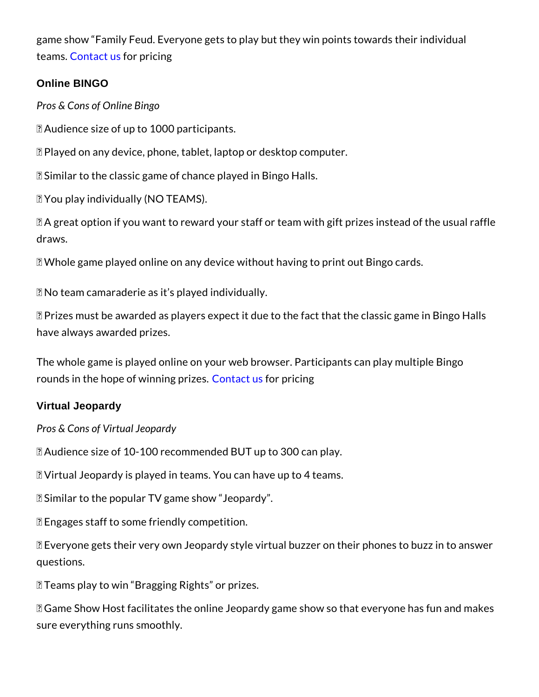game show Family Feud. Everyone gets to play but they win poi team **G**ontact four pricing

Online BINGO

Pros & Cons of Online Bingo

+P Audience size of up to 1000 participants.

+P Played on any device, phone, tablet, laptop or desktop computer. +P Similar to the classic game of chance played in Bingo Halls.

+P You play individually (NO TEAMS).

+P A great option if you want to reward your staff or team with g draws.

+P Whole game played online on any device without having to pri

'L No team camaraderie as it s played individually.

'L Prizes must be awarded as players expect it due to the fact th have always awarded prizes.

The whole game is played online on your web browser. Participa rounds in the hope of wCionmtian of thoms zoesiong

#### Virtual Jeopardy

Pros & Cons of Virtual Jeopardy

+P Audience size of 10-100 recommended BUT up to 300 can play. +P Virtual Jeopardy is played in teams. You can have up to 4 teams. +P Similar to the popular TV game show Jeopardy .

+P Engages staff to some friendly competition.

+P Everyone gets their very own Jeopardy style virtual buzzer on questions.

+P Teams play to win Bragging Rights or prizes.

+P Game Show Host facilitates the online Jeopardy game show so sure everything runs smoothly.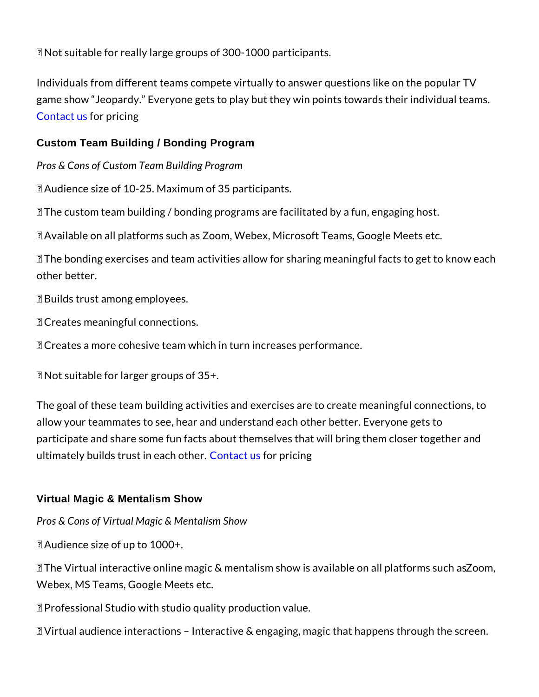'L Not suitable for really large groups of 300-1000 participants.

Individuals from different teams compete virtually to answer que game show Jeopardy. Everyone gets to play but they win points [Contac](https://www.kmprod.com/event-inquiry)t for pricing

Custom Team Building / Bonding Program

Pros & Cons of Custom Team Building Program

+P Audience size of 10-25. Maximum of 35 participants.

+P The custom team building / bonding programs are facilitated b +P Available on all platforms such as Zoom, Webex, Microsoft Te +P The bonding exercises and team activities allow for sharing m other better.

+P Builds trust among employees.

+P Creates meaningful connections.

+P Creates a more cohesive team which in turn increases performance.

'L Not suitable for larger groups of 35+.

The goal of these team building activities and exercises are to  $\alpha$ allow your teammates to see, hear and understand each other be participate and share some fun facts about themselves that will ultimately builds trust **Cionetach foorst hericing** 

#### Virtual Magic & Mentalism Show

Pros & Cons of Virtual Magic & Mentalism Show

+P Audience size of up to 1000+.

 $+P$  The Virtual interactive online magic & mentalism sho $\bar{x}$ oosmavai Webex, MS Teams, Google Meets etc.

+P Professional Studio with studio quality production value.

+P Virtual audience interactions Interactive & engaging, magic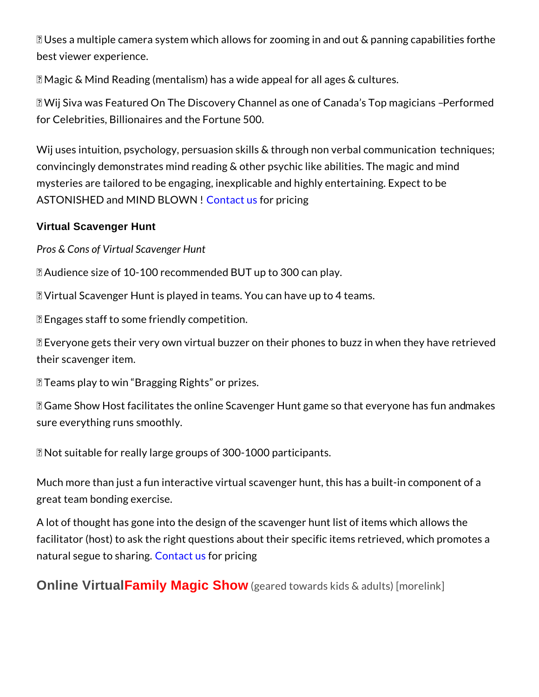+P Uses a multiple camera system which allows for zoominigein ar best viewer experience.

+P Magic & Mind Reading (mentalism) has a wide appeal for all a

+P Wij Siva was Featured On The Discovery Channel **Berómemetd Canada Strute** for Celebrities, Billionaires and the Fortune 500.

Wij uses intuition, psychology, persuasion skills & tthe roothunging unecosy convincingly demonstrates mind reading & other psychic like abi mysteries are tailored to be engaging, inexplicable and highly e ASTONISHED and MIND oBill @ OW IN also pricing

Virtual Scavenger Hunt

Pros & Cons of Virtual Scavenger Hunt

+P Audience size of 10-100 recommended BUT up to 300 can play. +P Virtual Scavenger Hunt is played in teams. You can have up t +P Engages staff to some friendly competition.

+P Everyone gets their very own virtual buzzer on their phones t their scavenger item.

+P Teams play to win Bragging Rights or prizes.

+P Game Show Host facilitates the online Scavenger Humtageme s sure everything runs smoothly.

'L Not suitable for really large groups of 300-1000 participants.

Much more than just a fun interactive virtual scavenger hunt, th great team bonding exercise.

A lot of thought has gone into the design of the scavenger hunt facilitator (host) to ask the right questions about their specific natural segue t<mark>oC csnhtaarcinfonus</mark> pricing

Online Virtual Family Magic Show (geared towards kids & adults) [more